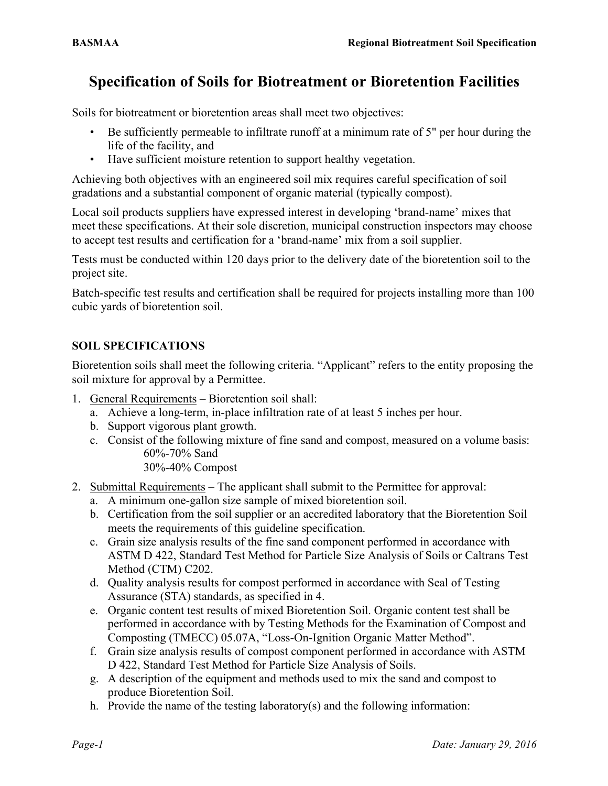## **Specification of Soils for Biotreatment or Bioretention Facilities**

Soils for biotreatment or bioretention areas shall meet two objectives:

- Be sufficiently permeable to infiltrate runoff at a minimum rate of 5" per hour during the life of the facility, and
- Have sufficient moisture retention to support healthy vegetation.

Achieving both objectives with an engineered soil mix requires careful specification of soil gradations and a substantial component of organic material (typically compost).

Local soil products suppliers have expressed interest in developing 'brand-name' mixes that meet these specifications. At their sole discretion, municipal construction inspectors may choose to accept test results and certification for a 'brand-name' mix from a soil supplier.

Tests must be conducted within 120 days prior to the delivery date of the bioretention soil to the project site.

Batch-specific test results and certification shall be required for projects installing more than 100 cubic yards of bioretention soil.

## **SOIL SPECIFICATIONS**

Bioretention soils shall meet the following criteria. "Applicant" refers to the entity proposing the soil mixture for approval by a Permittee.

- 1. General Requirements Bioretention soil shall:
	- a. Achieve a long-term, in-place infiltration rate of at least 5 inches per hour.
	- b. Support vigorous plant growth.
	- c. Consist of the following mixture of fine sand and compost, measured on a volume basis: 60%-70% Sand

30%-40% Compost

- 2. Submittal Requirements The applicant shall submit to the Permittee for approval:
	- a. A minimum one-gallon size sample of mixed bioretention soil.
	- b. Certification from the soil supplier or an accredited laboratory that the Bioretention Soil meets the requirements of this guideline specification.
	- c. Grain size analysis results of the fine sand component performed in accordance with ASTM D 422, Standard Test Method for Particle Size Analysis of Soils or Caltrans Test Method (CTM) C202.
	- d. Quality analysis results for compost performed in accordance with Seal of Testing Assurance (STA) standards, as specified in 4.
	- e. Organic content test results of mixed Bioretention Soil. Organic content test shall be performed in accordance with by Testing Methods for the Examination of Compost and Composting (TMECC) 05.07A, "Loss-On-Ignition Organic Matter Method".
	- f. Grain size analysis results of compost component performed in accordance with ASTM D 422, Standard Test Method for Particle Size Analysis of Soils.
	- g. A description of the equipment and methods used to mix the sand and compost to produce Bioretention Soil.
	- h. Provide the name of the testing laboratory(s) and the following information: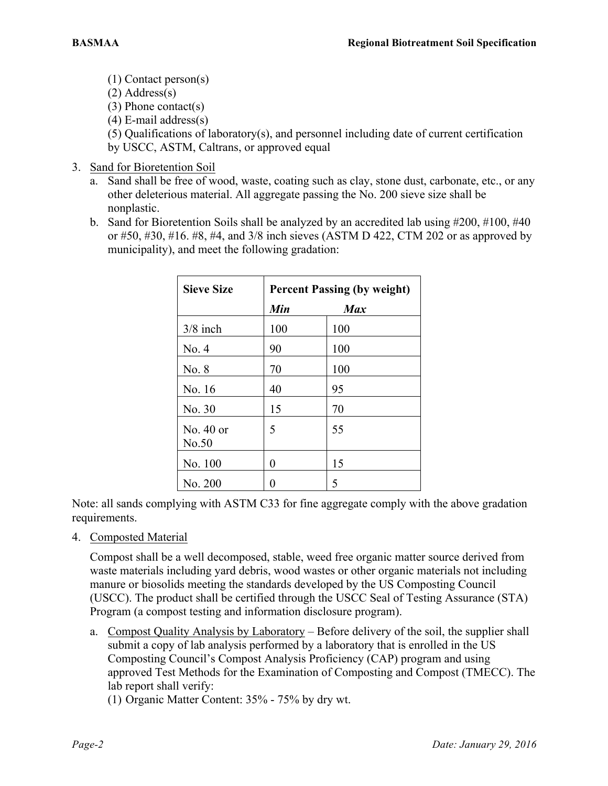(1) Contact person(s)

(2) Address(s)

(3) Phone contact(s)

(4) E-mail address(s)

(5) Qualifications of laboratory(s), and personnel including date of current certification by USCC, ASTM, Caltrans, or approved equal

- 3. Sand for Bioretention Soil
	- a. Sand shall be free of wood, waste, coating such as clay, stone dust, carbonate, etc., or any other deleterious material. All aggregate passing the No. 200 sieve size shall be nonplastic.
	- b. Sand for Bioretention Soils shall be analyzed by an accredited lab using #200, #100, #40 or #50, #30, #16. #8, #4, and 3/8 inch sieves (ASTM D 422, CTM 202 or as approved by municipality), and meet the following gradation:

| <b>Sieve Size</b>    |     | <b>Percent Passing (by weight)</b> |  |
|----------------------|-----|------------------------------------|--|
|                      | Min | <b>Max</b>                         |  |
| $3/8$ inch           | 100 | 100                                |  |
| No. 4                | 90  | 100                                |  |
| No. 8                | 70  | 100                                |  |
| No. 16               | 40  | 95                                 |  |
| No. 30               | 15  | 70                                 |  |
| No. $40$ or<br>No.50 | 5   | 55                                 |  |
| No. 100              | 0   | 15                                 |  |
| No. 200              |     | 5                                  |  |

Note: all sands complying with ASTM C33 for fine aggregate comply with the above gradation requirements.

4. Composted Material

Compost shall be a well decomposed, stable, weed free organic matter source derived from waste materials including yard debris, wood wastes or other organic materials not including manure or biosolids meeting the standards developed by the US Composting Council (USCC). The product shall be certified through the USCC Seal of Testing Assurance (STA) Program (a compost testing and information disclosure program).

a. Compost Quality Analysis by Laboratory – Before delivery of the soil, the supplier shall submit a copy of lab analysis performed by a laboratory that is enrolled in the US Composting Council's Compost Analysis Proficiency (CAP) program and using approved Test Methods for the Examination of Composting and Compost (TMECC). The lab report shall verify:

(1) Organic Matter Content: 35% - 75% by dry wt.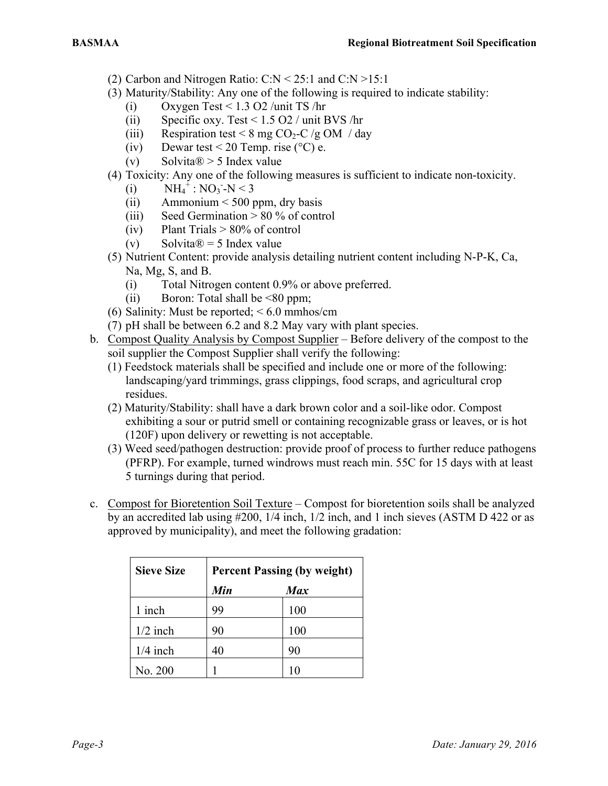- (2) Carbon and Nitrogen Ratio:  $C: N \leq 25$ :1 and  $C: N \geq 15$ :1
- (3) Maturity/Stability: Any one of the following is required to indicate stability:
	- (i) Oxygen Test <  $1.3$  O2 /unit TS /hr
	- (ii) Specific oxy. Test < 1.5 O2 / unit BVS /hr
	- (iii) Respiration test < 8 mg  $CO<sub>2</sub>-C/gOM/day$
	- (iv) Dewar test < 20 Temp. rise ( $^{\circ}$ C) e.
	- (v) Solvita $\mathbb{R} > 5$  Index value
- (4) Toxicity: Any one of the following measures is sufficient to indicate non-toxicity.
	- (i)  $NH_4^+$ : NO<sub>3</sub> N < 3
	- (ii) Ammonium  $\leq 500$  ppm, dry basis
	- (iii) Seed Germination  $> 80\%$  of control
	- (iv) Plant Trials  $> 80\%$  of control
	- (v) Solvita $\mathcal{D} = 5$  Index value
- (5) Nutrient Content: provide analysis detailing nutrient content including N-P-K, Ca, Na, Mg, S, and B.
	- (i) Total Nitrogen content 0.9% or above preferred.
	- (ii) Boron: Total shall be  $\leq 80$  ppm;
- (6) Salinity: Must be reported;  $\leq 6.0$  mmhos/cm
- (7) pH shall be between 6.2 and 8.2 May vary with plant species.
- b. Compost Quality Analysis by Compost Supplier Before delivery of the compost to the soil supplier the Compost Supplier shall verify the following:
	- (1) Feedstock materials shall be specified and include one or more of the following: landscaping/yard trimmings, grass clippings, food scraps, and agricultural crop residues.
	- (2) Maturity/Stability: shall have a dark brown color and a soil-like odor. Compost exhibiting a sour or putrid smell or containing recognizable grass or leaves, or is hot (120F) upon delivery or rewetting is not acceptable.
	- (3) Weed seed/pathogen destruction: provide proof of process to further reduce pathogens (PFRP). For example, turned windrows must reach min. 55C for 15 days with at least 5 turnings during that period.
- c. Compost for Bioretention Soil Texture Compost for bioretention soils shall be analyzed by an accredited lab using #200, 1/4 inch, 1/2 inch, and 1 inch sieves (ASTM D 422 or as approved by municipality), and meet the following gradation:

| <b>Sieve Size</b> | <b>Percent Passing (by weight)</b> |            |
|-------------------|------------------------------------|------------|
|                   | Min                                | <b>Max</b> |
| 1 inch            | 99                                 | 100        |
| $1/2$ inch        | 90                                 | 100        |
| $1/4$ inch        | 40                                 | 90         |
| No. 200           |                                    | 10         |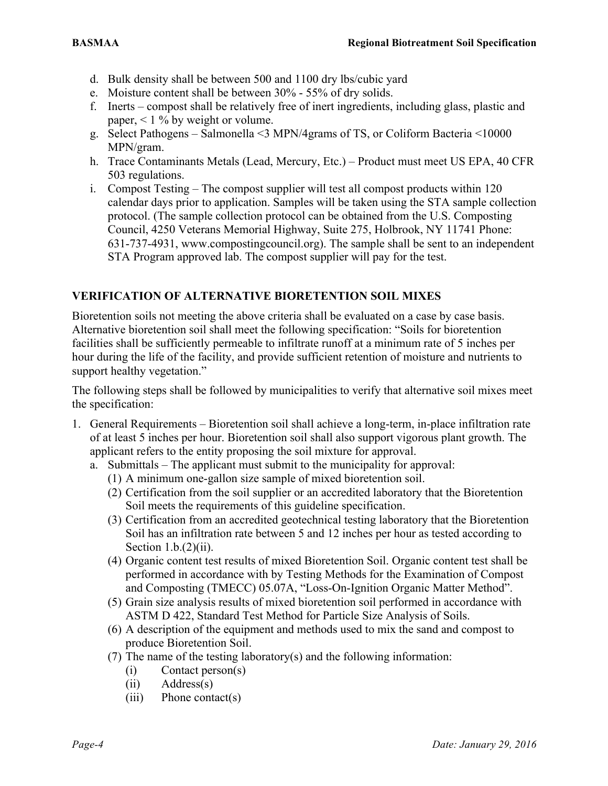- d. Bulk density shall be between 500 and 1100 dry lbs/cubic yard
- e. Moisture content shall be between 30% 55% of dry solids.
- f. Inerts compost shall be relatively free of inert ingredients, including glass, plastic and paper, < 1 % by weight or volume.
- g. Select Pathogens Salmonella <3 MPN/4grams of TS, or Coliform Bacteria <10000 MPN/gram.
- h. Trace Contaminants Metals (Lead, Mercury, Etc.) Product must meet US EPA, 40 CFR 503 regulations.
- i. Compost Testing The compost supplier will test all compost products within 120 calendar days prior to application. Samples will be taken using the STA sample collection protocol. (The sample collection protocol can be obtained from the U.S. Composting Council, 4250 Veterans Memorial Highway, Suite 275, Holbrook, NY 11741 Phone: 631-737-4931, www.compostingcouncil.org). The sample shall be sent to an independent STA Program approved lab. The compost supplier will pay for the test.

## **VERIFICATION OF ALTERNATIVE BIORETENTION SOIL MIXES**

Bioretention soils not meeting the above criteria shall be evaluated on a case by case basis. Alternative bioretention soil shall meet the following specification: "Soils for bioretention facilities shall be sufficiently permeable to infiltrate runoff at a minimum rate of 5 inches per hour during the life of the facility, and provide sufficient retention of moisture and nutrients to support healthy vegetation."

The following steps shall be followed by municipalities to verify that alternative soil mixes meet the specification:

- 1. General Requirements Bioretention soil shall achieve a long-term, in-place infiltration rate of at least 5 inches per hour. Bioretention soil shall also support vigorous plant growth. The applicant refers to the entity proposing the soil mixture for approval.
	- a. Submittals The applicant must submit to the municipality for approval:
		- (1) A minimum one-gallon size sample of mixed bioretention soil.
		- (2) Certification from the soil supplier or an accredited laboratory that the Bioretention Soil meets the requirements of this guideline specification.
		- (3) Certification from an accredited geotechnical testing laboratory that the Bioretention Soil has an infiltration rate between 5 and 12 inches per hour as tested according to Section  $1.b.(2)(ii)$ .
		- (4) Organic content test results of mixed Bioretention Soil. Organic content test shall be performed in accordance with by Testing Methods for the Examination of Compost and Composting (TMECC) 05.07A, "Loss-On-Ignition Organic Matter Method".
		- (5) Grain size analysis results of mixed bioretention soil performed in accordance with ASTM D 422, Standard Test Method for Particle Size Analysis of Soils.
		- (6) A description of the equipment and methods used to mix the sand and compost to produce Bioretention Soil.
		- (7) The name of the testing laboratory(s) and the following information:
			- (i) Contact person(s)
			- (ii) Address(s)
			- (iii) Phone contact(s)